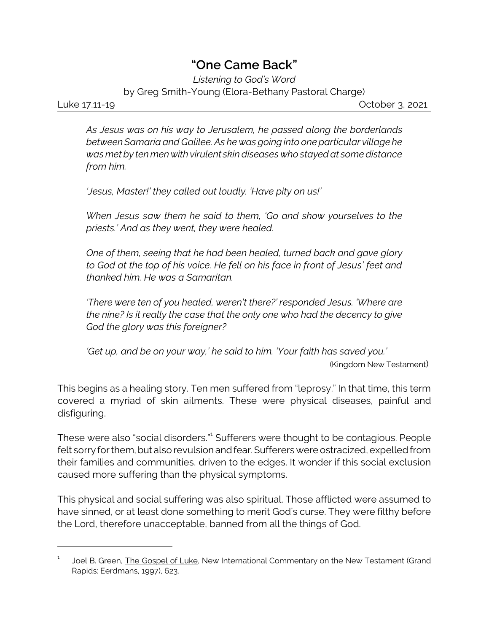## **"One Came Back"**

*Listening to God's Word* by Greg Smith-Young (Elora-Bethany Pastoral Charge)

Luke 17.11-19 October 3, 2021

*As Jesus was on his way to Jerusalem, he passed along the borderlands between Samaria and Galilee. As he was going into one particular village he was met by ten men with virulent skin diseases who stayed at some distance from him.*

*'Jesus, Master!' they called out loudly. 'Have pity on us!'*

*When Jesus saw them he said to them, 'Go and show yourselves to the priests.' And as they went, they were healed.*

*One of them, seeing that he had been healed, turned back and gave glory to God at the top of his voice. He fell on his face in front of Jesus' feet and thanked him. He was a Samaritan.*

*'There were ten of you healed, weren't there?' responded Jesus. 'Where are the nine? Is it really the case that the only one who had the decency to give God the glory was this foreigner?*

*'Get up, and be on your way,' he said to him. 'Your faith has saved you.'* (Kingdom New Testament)

This begins as a healing story. Ten men suffered from "leprosy." In that time, this term covered a myriad of skin ailments. These were physical diseases, painful and disfiguring.

These were also "social disorders."<sup>1</sup> Sufferers were thought to be contagious. People felt sorry for them, but also revulsion and fear. Sufferers were ostracized, expelled from their families and communities, driven to the edges. It wonder if this social exclusion caused more suffering than the physical symptoms.

This physical and social suffering was also spiritual. Those afflicted were assumed to have sinned, or at least done something to merit God's curse. They were filthy before the Lord, therefore unacceptable, banned from all the things of God.

<sup>1</sup> Joel B. Green, The Gospel of Luke, New International Commentary on the New Testament (Grand Rapids: Eerdmans, 1997), 623.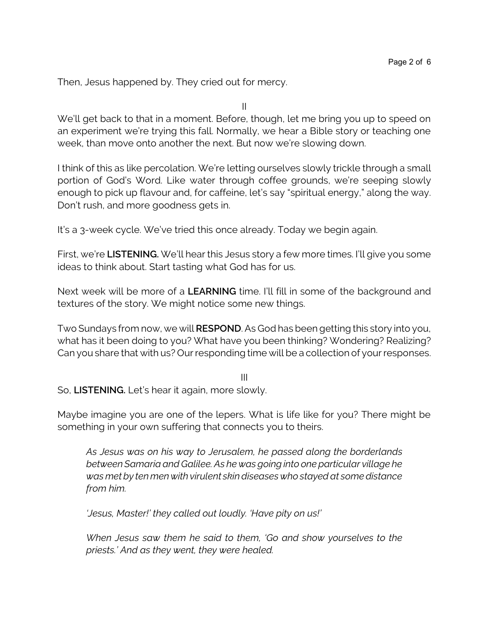Then, Jesus happened by. They cried out for mercy.

II

We'll get back to that in a moment. Before, though, let me bring you up to speed on an experiment we're trying this fall. Normally, we hear a Bible story or teaching one week, than move onto another the next. But now we're slowing down.

I think of this as like percolation. We're letting ourselves slowly trickle through a small portion of God's Word. Like water through coffee grounds, we're seeping slowly enough to pick up flavour and, for caffeine, let's say "spiritual energy," along the way. Don't rush, and more goodness gets in.

It's a 3-week cycle. We've tried this once already. Today we begin again.

First, we're **LISTENING.** We'll hear this Jesus story a few more times. I'll give you some ideas to think about. Start tasting what God has for us.

Next week will be more of a **LEARNING** time. I'll fill in some of the background and textures of the story. We might notice some new things.

Two Sundays from now, we will **RESPOND**. As God has been getting this story into you, what has it been doing to you? What have you been thinking? Wondering? Realizing? Can you share that with us? Our responding time will be a collection of your responses.

III

So, **LISTENING.** Let's hear it again, more slowly.

Maybe imagine you are one of the lepers. What is life like for you? There might be something in your own suffering that connects you to theirs.

*As Jesus was on his way to Jerusalem, he passed along the borderlands between Samaria and Galilee. As he was going into one particular village he was met by ten men with virulent skin diseases who stayed at some distance from him.*

*'Jesus, Master!' they called out loudly. 'Have pity on us!'*

*When Jesus saw them he said to them, 'Go and show yourselves to the priests.' And as they went, they were healed.*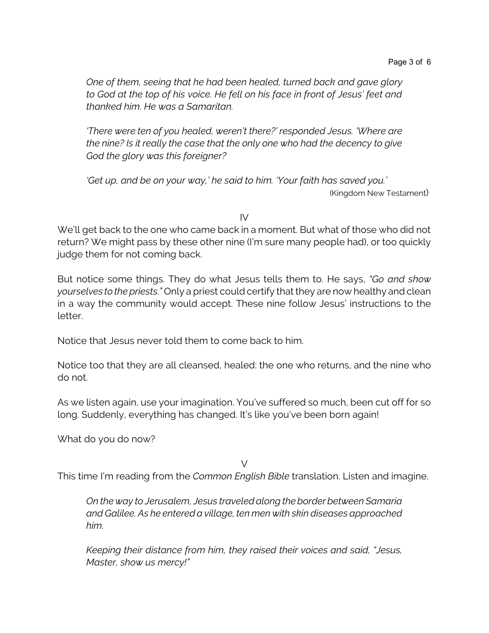*One of them, seeing that he had been healed, turned back and gave glory to God at the top of his voice. He fell on his face in front of Jesus' feet and thanked him. He was a Samaritan.*

*'There were ten of you healed, weren't there?' responded Jesus. 'Where are the nine? Is it really the case that the only one who had the decency to give God the glory was this foreigner?*

*'Get up, and be on your way,' he said to him. 'Your faith has saved you.'* (Kingdom New Testament)

 $IV$ 

We'll get back to the one who came back in a moment. But what of those who did not return? We might pass by these other nine (I'm sure many people had), or too quickly judge them for not coming back.

But notice some things. They do what Jesus tells them to. He says, *"Go and show yourselves to the priests."* Only a priest could certify that they are now healthy and clean in a way the community would accept. These nine follow Jesus' instructions to the letter.

Notice that Jesus never told them to come back to him.

Notice too that they are all cleansed, healed: the one who returns, and the nine who do not.

As we listen again, use your imagination. You've suffered so much, been cut off for so long. Suddenly, everything has changed. It's like you've been born again!

What do you do now?

 $\vee$ 

This time I'm reading from the *Common English Bible* translation. Listen and imagine.

*On the way to Jerusalem, Jesus traveled along the border between Samaria and Galilee. As he entered a village, ten men with skin diseases approached him.* 

*Keeping their distance from him, they raised their voices and said, "Jesus, Master, show us mercy!"*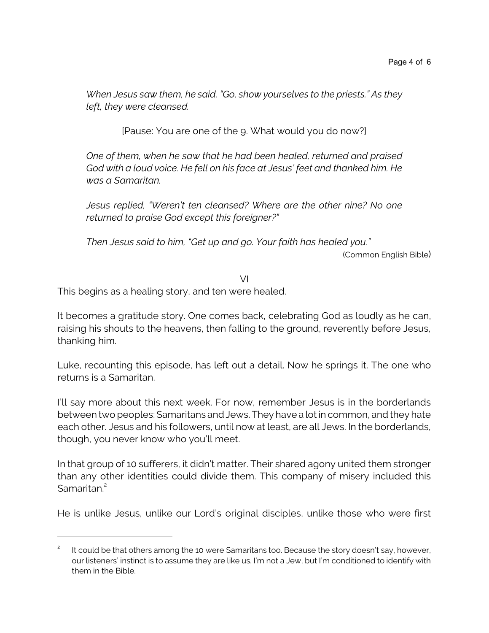*When Jesus saw them, he said, "Go, show yourselves to the priests." As they left, they were cleansed.*

[Pause: You are one of the 9. What would you do now?]

*One of them, when he saw that he had been healed, returned and praised God with a loud voice. He fell on his face at Jesus' feet and thanked him. He was a Samaritan.* 

*Jesus replied, "Weren't ten cleansed? Where are the other nine? No one returned to praise God except this foreigner?"* 

*Then Jesus said to him, "Get up and go. Your faith has healed you."*

(Common English Bible)

VI

This begins as a healing story, and ten were healed.

It becomes a gratitude story. One comes back, celebrating God as loudly as he can, raising his shouts to the heavens, then falling to the ground, reverently before Jesus, thanking him.

Luke, recounting this episode, has left out a detail. Now he springs it. The one who returns is a Samaritan.

I'll say more about this next week. For now, remember Jesus is in the borderlands between two peoples: Samaritans and Jews. They have a lot in common, and they hate each other. Jesus and his followers, until now at least, are all Jews. In the borderlands, though, you never know who you'll meet.

In that group of 10 sufferers, it didn't matter. Their shared agony united them stronger than any other identities could divide them. This company of misery included this Samaritan.<sup>2</sup>

He is unlike Jesus, unlike our Lord's original disciples, unlike those who were first

<sup>2</sup> It could be that others among the 10 were Samaritans too. Because the story doesn't say, however, our listeners' instinct is to assume they are like us. I'm not a Jew, but I'm conditioned to identify with them in the Bible.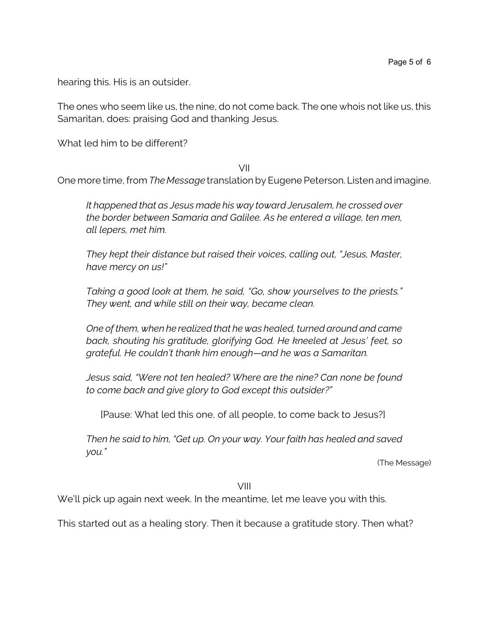hearing this. His is an outsider.

The ones who seem like us, the nine, do not come back. The one whois not like us, this Samaritan, does: praising God and thanking Jesus.

What led him to be different?

## VII

One more time, from *The Message* translation by Eugene Peterson. Listen and imagine.

*It happened that as Jesus made his way toward Jerusalem, he crossed over the border between Samaria and Galilee. As he entered a village, ten men, all lepers, met him.* 

*They kept their distance but raised their voices, calling out, "Jesus, Master, have mercy on us!"*

*Taking a good look at them, he said, "Go, show yourselves to the priests." They went, and while still on their way, became clean.* 

*One of them, when he realized that he was healed, turned around and came back, shouting his gratitude, glorifying God. He kneeled at Jesus' feet, so grateful. He couldn't thank him enough—and he was a Samaritan.*

*Jesus said, "Were not ten healed? Where are the nine? Can none be found to come back and give glory to God except this outsider?"* 

[Pause: What led this one, of all people, to come back to Jesus?]

*Then he said to him, "Get up. On your way. Your faith has healed and saved you."*

(The Message)

VIII

We'll pick up again next week. In the meantime, let me leave you with this.

This started out as a healing story. Then it because a gratitude story. Then what?